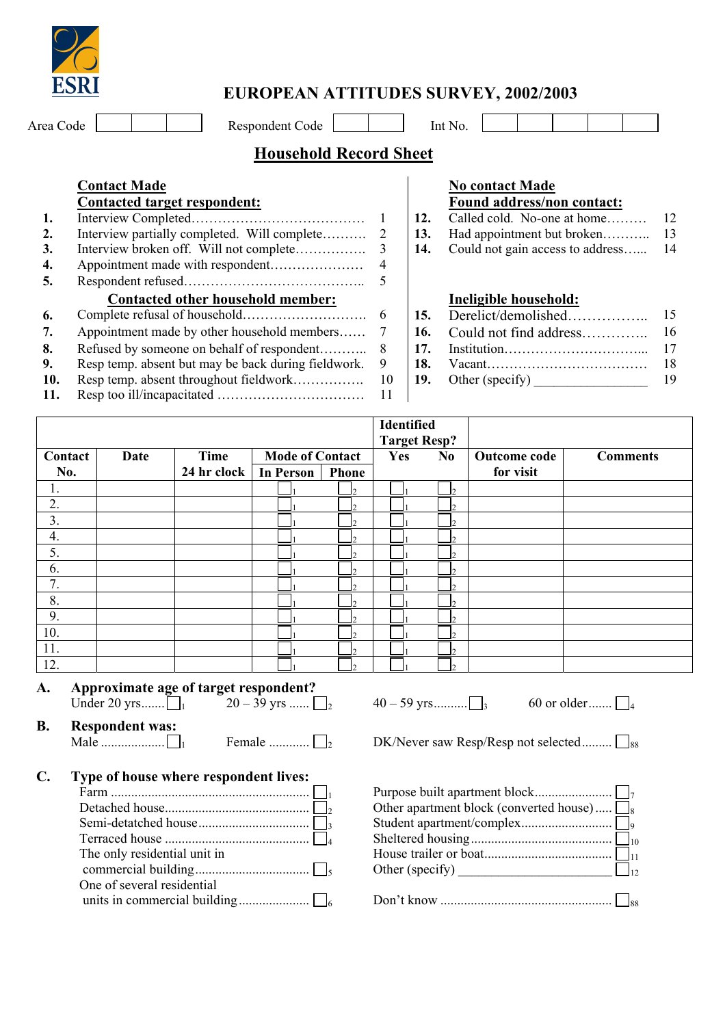

# **EUROPEAN ATTITUDES SURVEY, 2002/2003**

Area Code **Respondent Code** Int No.

## **Household Record Sheet**

| <b>Contact Made</b>                                 |    |
|-----------------------------------------------------|----|
| Contacted target respondent:                        |    |
|                                                     |    |
| Interview partially completed. Will complete        | 2  |
| Interview broken off. Will not complete             | 3  |
|                                                     | 4  |
|                                                     | 5  |
| <b>Contacted other household member:</b>            |    |
|                                                     | 6  |
| Appointment made by other household members         | 7  |
| Refused by someone on behalf of respondent          | 8  |
| Resp temp. absent but may be back during fieldwork. | 9  |
| Resp temp. absent throughout fieldwork              | 10 |
|                                                     |    |

### **No contact Made Found address/non contact:**

**1.** Interview Completed………………………………… 1 **12.** Called cold. No-one at home……… 12

- **2. 2. Had appointment but broken……….. 2 13.**
- **14.** Could not gain access to address……. 14

### **Ineligible household:**

**6.** Complete refusal of household………………………. 6 **15.** Derelict/demolished…………….. 15 **7. <b>***Point Members* Could not find address………….. 16. **16. 8.** Refused by someone on behalf of respondent……….. 8 **17.** Institution…………………………... 17 **18.** Vacant……………………………………… 18 **19.** Other (specify) \_\_\_\_\_\_\_\_\_\_\_\_\_\_\_\_\_\_\_ 19

|         |             |             |                        |              | Identified<br><b>Target Resp?</b> |                |              |                 |
|---------|-------------|-------------|------------------------|--------------|-----------------------------------|----------------|--------------|-----------------|
| Contact | <b>Date</b> | Time        | <b>Mode of Contact</b> |              | Yes                               | N <sub>0</sub> | Outcome code | <b>Comments</b> |
| No.     |             | 24 hr clock | In Person              | <b>Phone</b> |                                   |                | for visit    |                 |
| ī.      |             |             |                        | 12           |                                   | n.             |              |                 |
| 2.      |             |             |                        | I۰           |                                   |                |              |                 |
| 3.      |             |             |                        | l J          |                                   |                |              |                 |
| 4.      |             |             |                        | $\bigcap$    |                                   |                |              |                 |
| 5.      |             |             |                        | I۵           |                                   |                |              |                 |
| 6.      |             |             |                        | I۵           |                                   |                |              |                 |
| 7.      |             |             |                        | $\bigcap$    |                                   |                |              |                 |
| 8.      |             |             |                        | I۰           |                                   |                |              |                 |
| 9.      |             |             |                        | I۰           |                                   |                |              |                 |
| 10.     |             |             |                        | I۵           |                                   |                |              |                 |
| 11.     |             |             |                        | I۰           |                                   |                |              |                 |
| 12.     |             |             |                        | I۵           |                                   |                |              |                 |

### **A. Approximate age of target respondent?**  Under 20 yrs.......  $\Box_1$   $20-39$  yrs ......  $\Box_2$   $40-59$  yrs..........  $\Box_3$  60 or older.......  $\Box_4$

**B. Respondent was:** 

**C. Type of house where respondent lives:** 

Male ................... 1 Female ............ 2 DK/Never saw Resp/Resp not selected......... <sup>88</sup>

|                              | Other apartment block (converted house) $\Box_8$ |
|------------------------------|--------------------------------------------------|
|                              |                                                  |
|                              |                                                  |
| The only residential unit in |                                                  |
|                              | Other (specify) $\Box_{12}$                      |
| One of several residential   |                                                  |
|                              |                                                  |